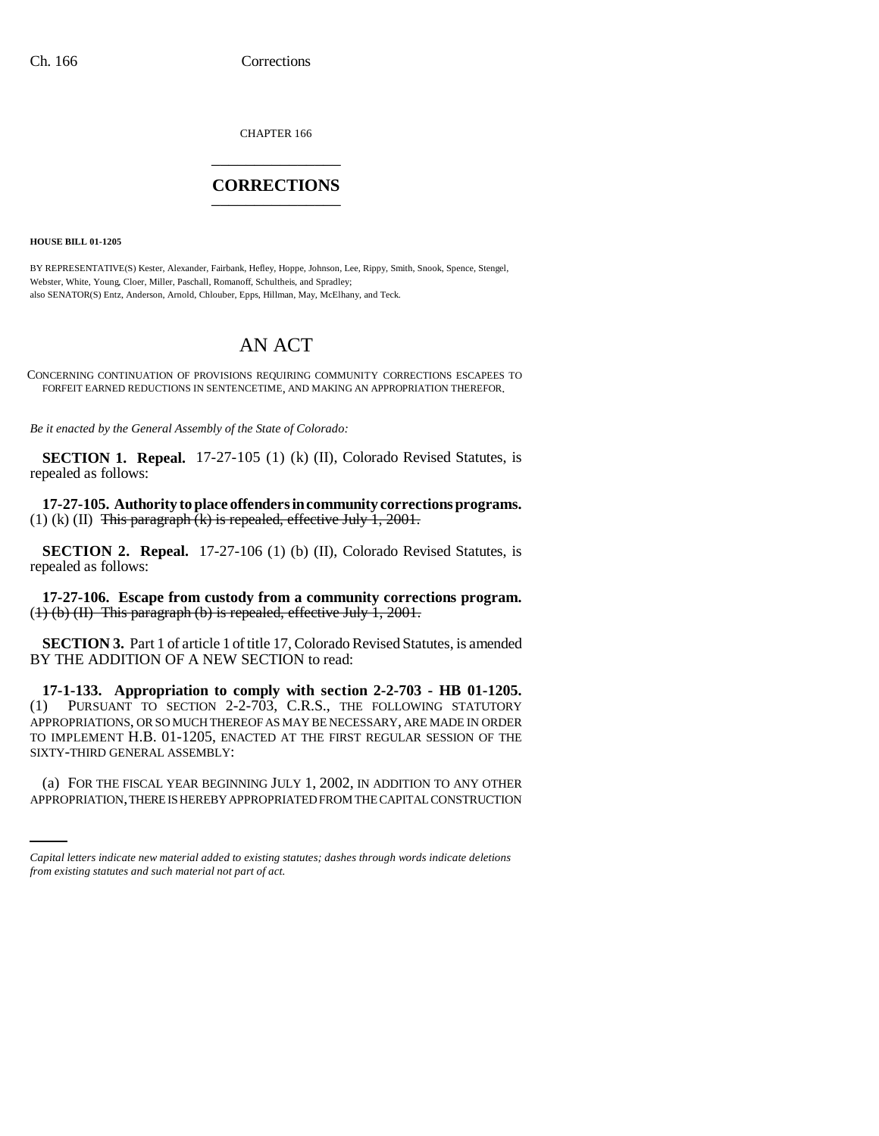CHAPTER 166 \_\_\_\_\_\_\_\_\_\_\_\_\_\_\_

## **CORRECTIONS** \_\_\_\_\_\_\_\_\_\_\_\_\_\_\_

**HOUSE BILL 01-1205**

BY REPRESENTATIVE(S) Kester, Alexander, Fairbank, Hefley, Hoppe, Johnson, Lee, Rippy, Smith, Snook, Spence, Stengel, Webster, White, Young, Cloer, Miller, Paschall, Romanoff, Schultheis, and Spradley; also SENATOR(S) Entz, Anderson, Arnold, Chlouber, Epps, Hillman, May, McElhany, and Teck.

## AN ACT

CONCERNING CONTINUATION OF PROVISIONS REQUIRING COMMUNITY CORRECTIONS ESCAPEES TO FORFEIT EARNED REDUCTIONS IN SENTENCETIME, AND MAKING AN APPROPRIATION THEREFOR.

*Be it enacted by the General Assembly of the State of Colorado:*

**SECTION 1. Repeal.** 17-27-105 (1) (k) (II), Colorado Revised Statutes, is repealed as follows:

**17-27-105. Authority to place offenders in community corrections programs.** (1) (k) (II) This paragraph  $\overline{R}$  is repealed, effective July 1, 2001.

**SECTION 2. Repeal.** 17-27-106 (1) (b) (II), Colorado Revised Statutes, is repealed as follows:

**17-27-106. Escape from custody from a community corrections program.**  $(1)$  (b) (II) This paragraph (b) is repealed, effective July 1, 2001.

**SECTION 3.** Part 1 of article 1 of title 17, Colorado Revised Statutes, is amended BY THE ADDITION OF A NEW SECTION to read:

**17-1-133. Appropriation to comply with section 2-2-703 - HB 01-1205.** (1) PURSUANT TO SECTION 2-2-703, C.R.S., THE FOLLOWING STATUTORY APPROPRIATIONS, OR SO MUCH THEREOF AS MAY BE NECESSARY, ARE MADE IN ORDER TO IMPLEMENT H.B. 01-1205, ENACTED AT THE FIRST REGULAR SESSION OF THE SIXTY-THIRD GENERAL ASSEMBLY:

(a) FOR THE FISCAL YEAR BEGINNING JULY 1, 2002, IN ADDITION TO ANY OTHER APPROPRIATION, THERE IS HEREBY APPROPRIATED FROM THE CAPITAL CONSTRUCTION

*Capital letters indicate new material added to existing statutes; dashes through words indicate deletions from existing statutes and such material not part of act.*